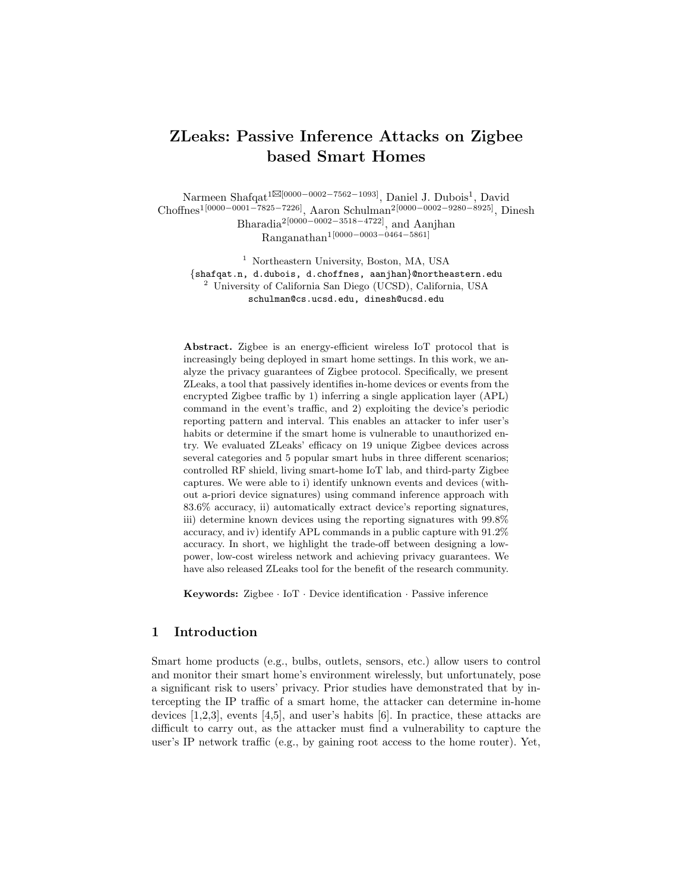# ZLeaks: Passive Inference Attacks on Zigbee based Smart Homes

Narmeen Shafqat<sup>1⊠[0000–0002–7562–1093]</sup>, Daniel J. Dubois<sup>1</sup>, David Choffnes1[0000−0001−7825−7226], Aaron Schulman2[0000−0002−9280−8925], Dinesh Bharadia2[0000−0002−3518−4722], and Aanjhan Ranganathan1[0000−0003−0464−5861]

<sup>1</sup> Northeastern University, Boston, MA, USA {shafqat.n, d.dubois, d.choffnes, aanjhan}@northeastern.edu <sup>2</sup> University of California San Diego (UCSD), California, USA schulman@cs.ucsd.edu, dinesh@ucsd.edu

Abstract. Zigbee is an energy-efficient wireless IoT protocol that is increasingly being deployed in smart home settings. In this work, we analyze the privacy guarantees of Zigbee protocol. Specifically, we present ZLeaks, a tool that passively identifies in-home devices or events from the encrypted Zigbee traffic by 1) inferring a single application layer (APL) command in the event's traffic, and 2) exploiting the device's periodic reporting pattern and interval. This enables an attacker to infer user's habits or determine if the smart home is vulnerable to unauthorized entry. We evaluated ZLeaks' efficacy on 19 unique Zigbee devices across several categories and 5 popular smart hubs in three different scenarios; controlled RF shield, living smart-home IoT lab, and third-party Zigbee captures. We were able to i) identify unknown events and devices (without a-priori device signatures) using command inference approach with 83.6% accuracy, ii) automatically extract device's reporting signatures, iii) determine known devices using the reporting signatures with 99.8% accuracy, and iv) identify APL commands in a public capture with 91.2% accuracy. In short, we highlight the trade-off between designing a lowpower, low-cost wireless network and achieving privacy guarantees. We have also released ZLeaks tool for the benefit of the research community.

Keywords: Zigbee · IoT · Device identification · Passive inference

# 1 Introduction

Smart home products (e.g., bulbs, outlets, sensors, etc.) allow users to control and monitor their smart home's environment wirelessly, but unfortunately, pose a significant risk to users' privacy. Prior studies have demonstrated that by intercepting the IP traffic of a smart home, the attacker can determine in-home devices [1,2,3], events [4,5], and user's habits [6]. In practice, these attacks are difficult to carry out, as the attacker must find a vulnerability to capture the user's IP network traffic (e.g., by gaining root access to the home router). Yet,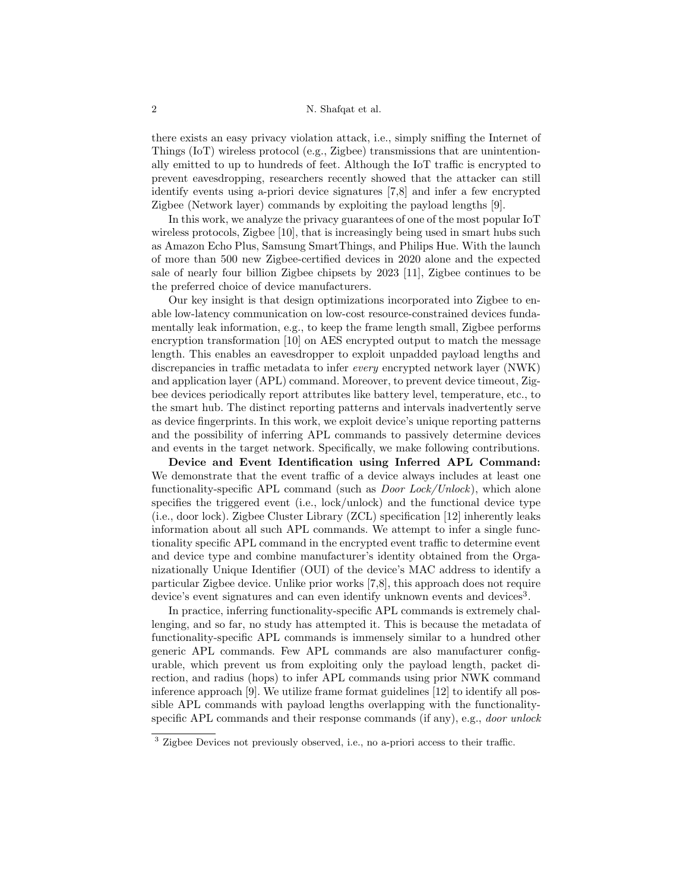there exists an easy privacy violation attack, i.e., simply sniffing the Internet of Things (IoT) wireless protocol (e.g., Zigbee) transmissions that are unintentionally emitted to up to hundreds of feet. Although the IoT traffic is encrypted to prevent eavesdropping, researchers recently showed that the attacker can still identify events using a-priori device signatures [7,8] and infer a few encrypted Zigbee (Network layer) commands by exploiting the payload lengths [9].

In this work, we analyze the privacy guarantees of one of the most popular IoT wireless protocols, Zigbee [10], that is increasingly being used in smart hubs such as Amazon Echo Plus, Samsung SmartThings, and Philips Hue. With the launch of more than 500 new Zigbee-certified devices in 2020 alone and the expected sale of nearly four billion Zigbee chipsets by 2023 [11], Zigbee continues to be the preferred choice of device manufacturers.

Our key insight is that design optimizations incorporated into Zigbee to enable low-latency communication on low-cost resource-constrained devices fundamentally leak information, e.g., to keep the frame length small, Zigbee performs encryption transformation [10] on AES encrypted output to match the message length. This enables an eavesdropper to exploit unpadded payload lengths and discrepancies in traffic metadata to infer every encrypted network layer (NWK) and application layer (APL) command. Moreover, to prevent device timeout, Zigbee devices periodically report attributes like battery level, temperature, etc., to the smart hub. The distinct reporting patterns and intervals inadvertently serve as device fingerprints. In this work, we exploit device's unique reporting patterns and the possibility of inferring APL commands to passively determine devices and events in the target network. Specifically, we make following contributions.

Device and Event Identification using Inferred APL Command: We demonstrate that the event traffic of a device always includes at least one functionality-specific APL command (such as Door Lock/Unlock), which alone specifies the triggered event (i.e., lock/unlock) and the functional device type (i.e., door lock). Zigbee Cluster Library (ZCL) specification [12] inherently leaks information about all such APL commands. We attempt to infer a single functionality specific APL command in the encrypted event traffic to determine event and device type and combine manufacturer's identity obtained from the Organizationally Unique Identifier (OUI) of the device's MAC address to identify a particular Zigbee device. Unlike prior works [7,8], this approach does not require device's event signatures and can even identify unknown events and devices<sup>3</sup>.

In practice, inferring functionality-specific APL commands is extremely challenging, and so far, no study has attempted it. This is because the metadata of functionality-specific APL commands is immensely similar to a hundred other generic APL commands. Few APL commands are also manufacturer configurable, which prevent us from exploiting only the payload length, packet direction, and radius (hops) to infer APL commands using prior NWK command inference approach [9]. We utilize frame format guidelines [12] to identify all possible APL commands with payload lengths overlapping with the functionalityspecific APL commands and their response commands (if any), e.g., *door unlock* 

<sup>3</sup> Zigbee Devices not previously observed, i.e., no a-priori access to their traffic.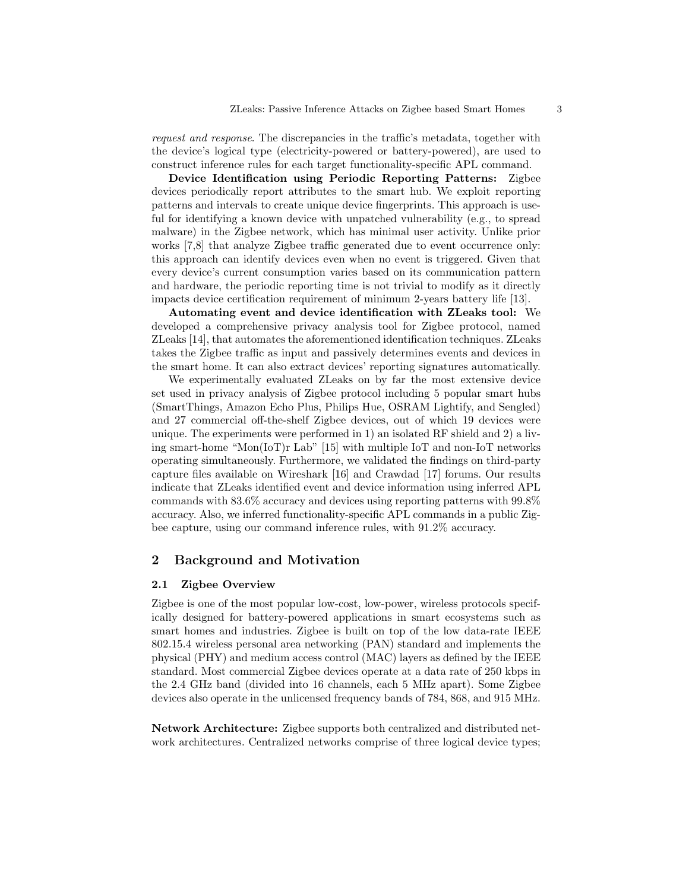request and response. The discrepancies in the traffic's metadata, together with the device's logical type (electricity-powered or battery-powered), are used to construct inference rules for each target functionality-specific APL command.

Device Identification using Periodic Reporting Patterns: Zigbee devices periodically report attributes to the smart hub. We exploit reporting patterns and intervals to create unique device fingerprints. This approach is useful for identifying a known device with unpatched vulnerability (e.g., to spread malware) in the Zigbee network, which has minimal user activity. Unlike prior works [7,8] that analyze Zigbee traffic generated due to event occurrence only: this approach can identify devices even when no event is triggered. Given that every device's current consumption varies based on its communication pattern and hardware, the periodic reporting time is not trivial to modify as it directly impacts device certification requirement of minimum 2-years battery life [13].

Automating event and device identification with ZLeaks tool: We developed a comprehensive privacy analysis tool for Zigbee protocol, named ZLeaks [14], that automates the aforementioned identification techniques. ZLeaks takes the Zigbee traffic as input and passively determines events and devices in the smart home. It can also extract devices' reporting signatures automatically.

We experimentally evaluated ZLeaks on by far the most extensive device set used in privacy analysis of Zigbee protocol including 5 popular smart hubs (SmartThings, Amazon Echo Plus, Philips Hue, OSRAM Lightify, and Sengled) and 27 commercial off-the-shelf Zigbee devices, out of which 19 devices were unique. The experiments were performed in 1) an isolated RF shield and 2) a living smart-home "Mon(IoT)r Lab" [15] with multiple IoT and non-IoT networks operating simultaneously. Furthermore, we validated the findings on third-party capture files available on Wireshark [16] and Crawdad [17] forums. Our results indicate that ZLeaks identified event and device information using inferred APL commands with 83.6% accuracy and devices using reporting patterns with 99.8% accuracy. Also, we inferred functionality-specific APL commands in a public Zigbee capture, using our command inference rules, with 91.2% accuracy.

# 2 Background and Motivation

## 2.1 Zigbee Overview

Zigbee is one of the most popular low-cost, low-power, wireless protocols specifically designed for battery-powered applications in smart ecosystems such as smart homes and industries. Zigbee is built on top of the low data-rate IEEE 802.15.4 wireless personal area networking (PAN) standard and implements the physical (PHY) and medium access control (MAC) layers as defined by the IEEE standard. Most commercial Zigbee devices operate at a data rate of 250 kbps in the 2.4 GHz band (divided into 16 channels, each 5 MHz apart). Some Zigbee devices also operate in the unlicensed frequency bands of 784, 868, and 915 MHz.

Network Architecture: Zigbee supports both centralized and distributed network architectures. Centralized networks comprise of three logical device types;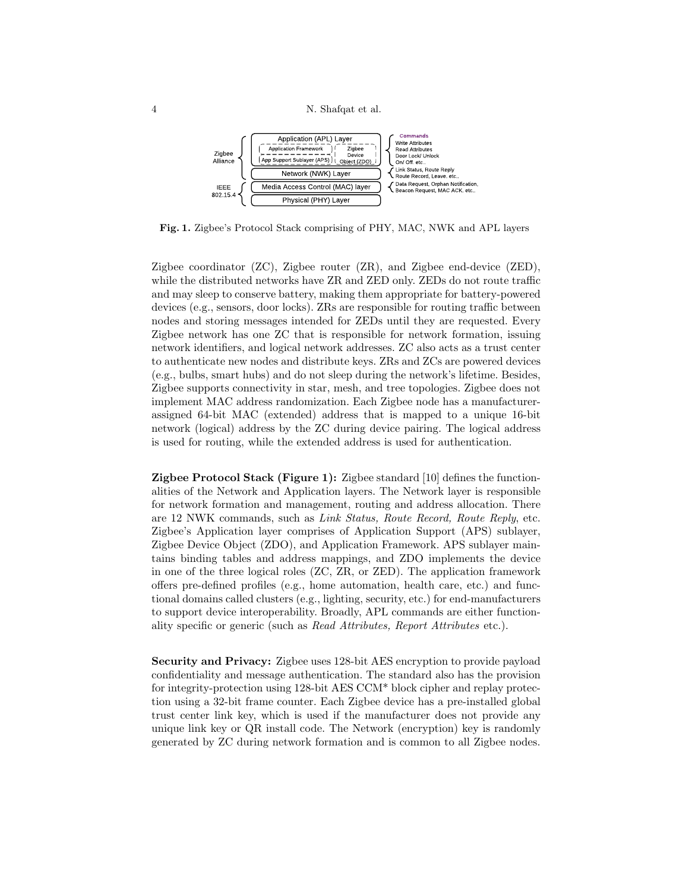

Fig. 1. Zigbee's Protocol Stack comprising of PHY, MAC, NWK and APL layers

Zigbee coordinator (ZC), Zigbee router (ZR), and Zigbee end-device (ZED), while the distributed networks have ZR and ZED only. ZEDs do not route traffic and may sleep to conserve battery, making them appropriate for battery-powered devices (e.g., sensors, door locks). ZRs are responsible for routing traffic between nodes and storing messages intended for ZEDs until they are requested. Every Zigbee network has one ZC that is responsible for network formation, issuing network identifiers, and logical network addresses. ZC also acts as a trust center to authenticate new nodes and distribute keys. ZRs and ZCs are powered devices (e.g., bulbs, smart hubs) and do not sleep during the network's lifetime. Besides, Zigbee supports connectivity in star, mesh, and tree topologies. Zigbee does not implement MAC address randomization. Each Zigbee node has a manufacturerassigned 64-bit MAC (extended) address that is mapped to a unique 16-bit network (logical) address by the ZC during device pairing. The logical address is used for routing, while the extended address is used for authentication.

**Zigbee Protocol Stack (Figure 1):** Zigbee standard  $[10]$  defines the functionalities of the Network and Application layers. The Network layer is responsible for network formation and management, routing and address allocation. There are 12 NWK commands, such as Link Status, Route Record, Route Reply, etc. Zigbee's Application layer comprises of Application Support (APS) sublayer, Zigbee Device Object (ZDO), and Application Framework. APS sublayer maintains binding tables and address mappings, and ZDO implements the device in one of the three logical roles (ZC, ZR, or ZED). The application framework offers pre-defined profiles (e.g., home automation, health care, etc.) and functional domains called clusters (e.g., lighting, security, etc.) for end-manufacturers to support device interoperability. Broadly, APL commands are either functionality specific or generic (such as Read Attributes, Report Attributes etc.).

Security and Privacy: Zigbee uses 128-bit AES encryption to provide payload confidentiality and message authentication. The standard also has the provision for integrity-protection using 128-bit AES CCM\* block cipher and replay protection using a 32-bit frame counter. Each Zigbee device has a pre-installed global trust center link key, which is used if the manufacturer does not provide any unique link key or QR install code. The Network (encryption) key is randomly generated by ZC during network formation and is common to all Zigbee nodes.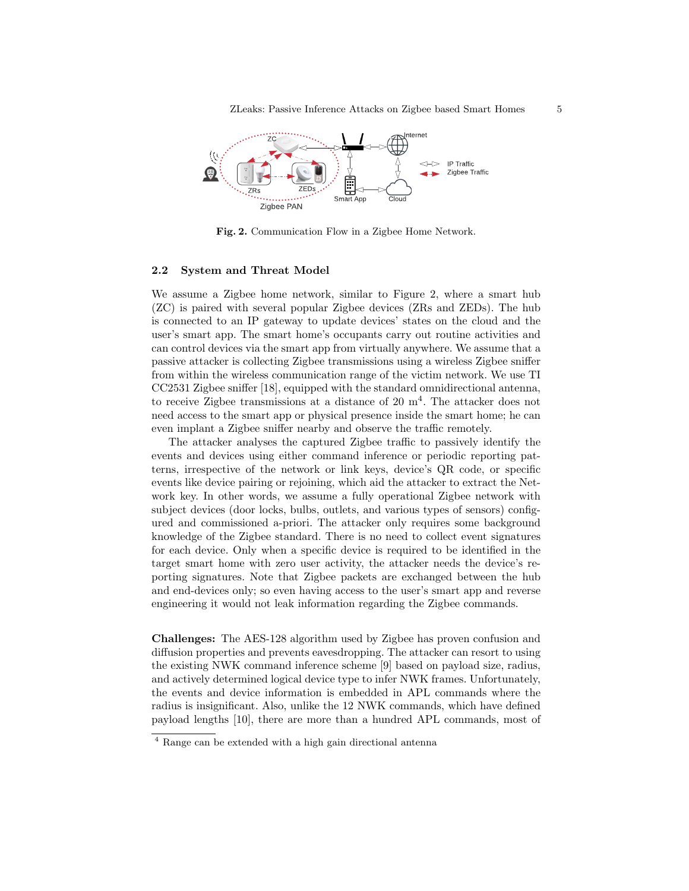ZLeaks: Passive Inference Attacks on Zigbee based Smart Homes 5



Fig. 2. Communication Flow in a Zigbee Home Network.

#### 2.2 System and Threat Model

We assume a Zigbee home network, similar to Figure 2, where a smart hub (ZC) is paired with several popular Zigbee devices (ZRs and ZEDs). The hub is connected to an IP gateway to update devices' states on the cloud and the user's smart app. The smart home's occupants carry out routine activities and can control devices via the smart app from virtually anywhere. We assume that a passive attacker is collecting Zigbee transmissions using a wireless Zigbee sniffer from within the wireless communication range of the victim network. We use TI CC2531 Zigbee sniffer [18], equipped with the standard omnidirectional antenna, to receive Zigbee transmissions at a distance of  $20 \text{ m}^4$ . The attacker does not need access to the smart app or physical presence inside the smart home; he can even implant a Zigbee sniffer nearby and observe the traffic remotely.

The attacker analyses the captured Zigbee traffic to passively identify the events and devices using either command inference or periodic reporting patterns, irrespective of the network or link keys, device's QR code, or specific events like device pairing or rejoining, which aid the attacker to extract the Network key. In other words, we assume a fully operational Zigbee network with subject devices (door locks, bulbs, outlets, and various types of sensors) configured and commissioned a-priori. The attacker only requires some background knowledge of the Zigbee standard. There is no need to collect event signatures for each device. Only when a specific device is required to be identified in the target smart home with zero user activity, the attacker needs the device's reporting signatures. Note that Zigbee packets are exchanged between the hub and end-devices only; so even having access to the user's smart app and reverse engineering it would not leak information regarding the Zigbee commands.

Challenges: The AES-128 algorithm used by Zigbee has proven confusion and diffusion properties and prevents eavesdropping. The attacker can resort to using the existing NWK command inference scheme [9] based on payload size, radius, and actively determined logical device type to infer NWK frames. Unfortunately, the events and device information is embedded in APL commands where the radius is insignificant. Also, unlike the 12 NWK commands, which have defined payload lengths [10], there are more than a hundred APL commands, most of

<sup>4</sup> Range can be extended with a high gain directional antenna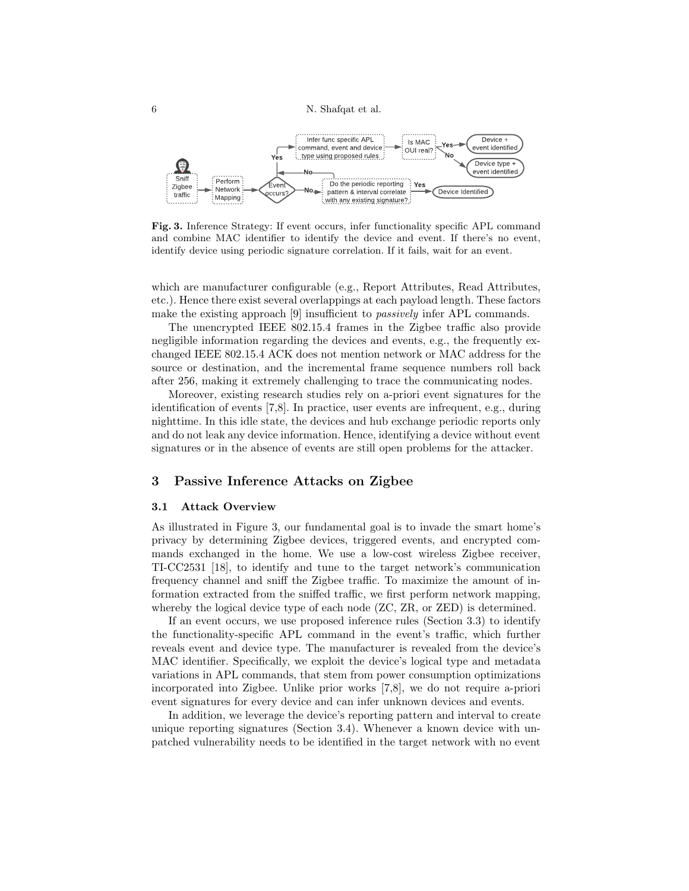

Fig. 3. Inference Strategy: If event occurs, infer functionality specific APL command and combine MAC identifier to identify the device and event. If there's no event, identify device using periodic signature correlation. If it fails, wait for an event.

which are manufacturer configurable (e.g., Report Attributes, Read Attributes, etc.). Hence there exist several overlappings at each payload length. These factors make the existing approach [9] insufficient to *passively* infer APL commands.

The unencrypted IEEE 802.15.4 frames in the Zigbee traffic also provide negligible information regarding the devices and events, e.g., the frequently exchanged IEEE 802.15.4 ACK does not mention network or MAC address for the source or destination, and the incremental frame sequence numbers roll back after 256, making it extremely challenging to trace the communicating nodes.

Moreover, existing research studies rely on a-priori event signatures for the identification of events [7,8]. In practice, user events are infrequent, e.g., during nighttime. In this idle state, the devices and hub exchange periodic reports only and do not leak any device information. Hence, identifying a device without event signatures or in the absence of events are still open problems for the attacker.

# 3 Passive Inference Attacks on Zigbee

#### 3.1 Attack Overview

As illustrated in Figure 3, our fundamental goal is to invade the smart home's privacy by determining Zigbee devices, triggered events, and encrypted commands exchanged in the home. We use a low-cost wireless Zigbee receiver, TI-CC2531 [18], to identify and tune to the target network's communication frequency channel and sniff the Zigbee traffic. To maximize the amount of information extracted from the sniffed traffic, we first perform network mapping, whereby the logical device type of each node  $(2C, ZR, \text{or } \text{ZED})$  is determined.

If an event occurs, we use proposed inference rules (Section 3.3) to identify the functionality-specific APL command in the event's traffic, which further reveals event and device type. The manufacturer is revealed from the device's MAC identifier. Specifically, we exploit the device's logical type and metadata variations in APL commands, that stem from power consumption optimizations incorporated into Zigbee. Unlike prior works [7,8], we do not require a-priori event signatures for every device and can infer unknown devices and events.

In addition, we leverage the device's reporting pattern and interval to create unique reporting signatures (Section 3.4). Whenever a known device with unpatched vulnerability needs to be identified in the target network with no event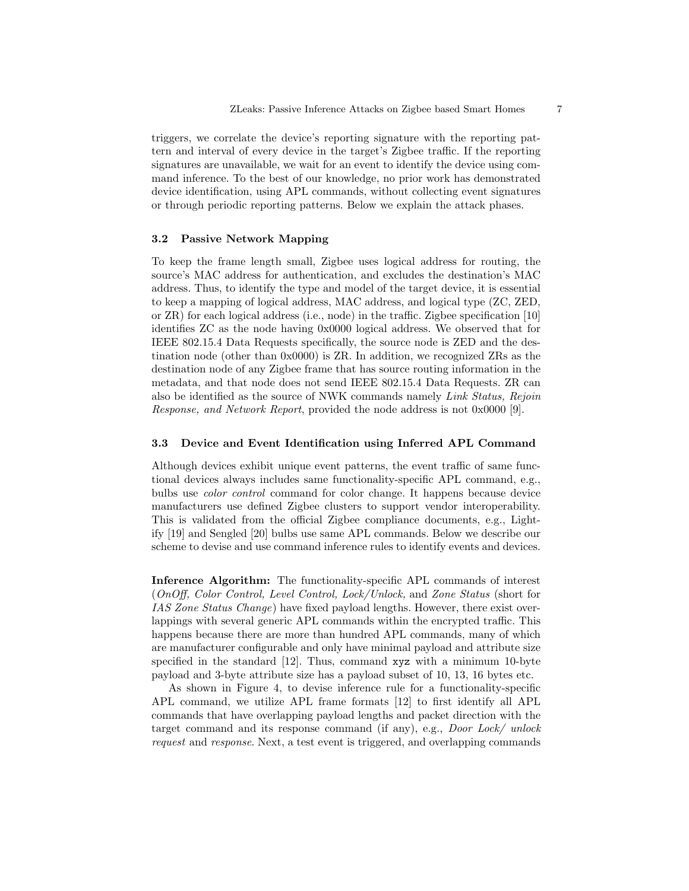triggers, we correlate the device's reporting signature with the reporting pattern and interval of every device in the target's Zigbee traffic. If the reporting signatures are unavailable, we wait for an event to identify the device using command inference. To the best of our knowledge, no prior work has demonstrated device identification, using APL commands, without collecting event signatures or through periodic reporting patterns. Below we explain the attack phases.

## 3.2 Passive Network Mapping

To keep the frame length small, Zigbee uses logical address for routing, the source's MAC address for authentication, and excludes the destination's MAC address. Thus, to identify the type and model of the target device, it is essential to keep a mapping of logical address, MAC address, and logical type (ZC, ZED, or ZR) for each logical address (i.e., node) in the traffic. Zigbee specification [10] identifies ZC as the node having 0x0000 logical address. We observed that for IEEE 802.15.4 Data Requests specifically, the source node is ZED and the destination node (other than 0x0000) is ZR. In addition, we recognized ZRs as the destination node of any Zigbee frame that has source routing information in the metadata, and that node does not send IEEE 802.15.4 Data Requests. ZR can also be identified as the source of NWK commands namely Link Status, Rejoin Response, and Network Report, provided the node address is not 0x0000 [9].

## 3.3 Device and Event Identification using Inferred APL Command

Although devices exhibit unique event patterns, the event traffic of same functional devices always includes same functionality-specific APL command, e.g., bulbs use color control command for color change. It happens because device manufacturers use defined Zigbee clusters to support vendor interoperability. This is validated from the official Zigbee compliance documents, e.g., Lightify [19] and Sengled [20] bulbs use same APL commands. Below we describe our scheme to devise and use command inference rules to identify events and devices.

Inference Algorithm: The functionality-specific APL commands of interest (OnOff, Color Control, Level Control, Lock/Unlock, and Zone Status (short for IAS Zone Status Change) have fixed payload lengths. However, there exist overlappings with several generic APL commands within the encrypted traffic. This happens because there are more than hundred APL commands, many of which are manufacturer configurable and only have minimal payload and attribute size specified in the standard [12]. Thus, command xyz with a minimum 10-byte payload and 3-byte attribute size has a payload subset of 10, 13, 16 bytes etc.

As shown in Figure 4, to devise inference rule for a functionality-specific APL command, we utilize APL frame formats [12] to first identify all APL commands that have overlapping payload lengths and packet direction with the target command and its response command (if any), e.g., Door Lock/ unlock request and response. Next, a test event is triggered, and overlapping commands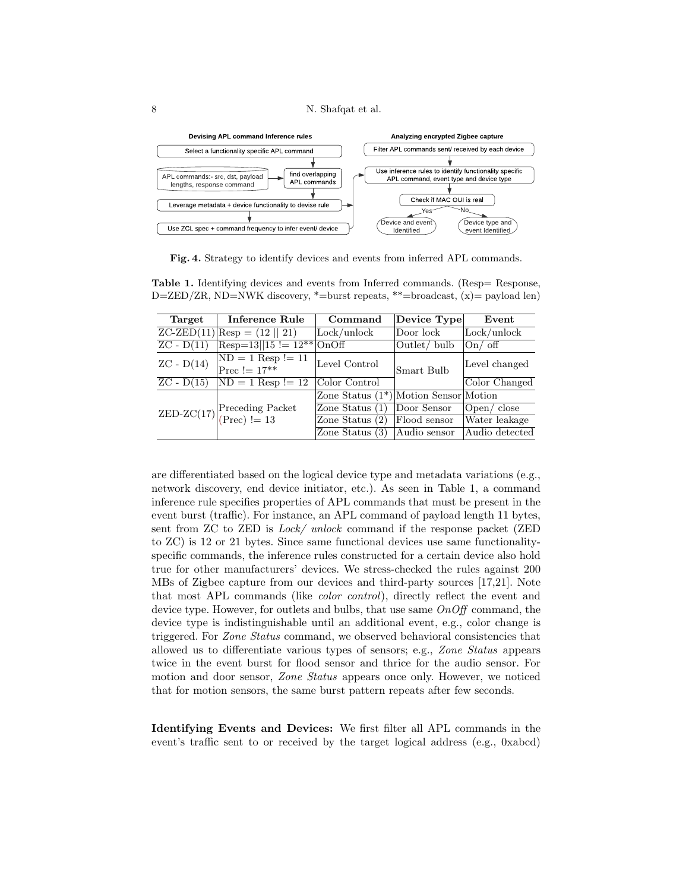

Fig. 4. Strategy to identify devices and events from inferred APL commands.

| Target                  | Inference Rule                                                                | Command                                  | Device Type                      | Event             |
|-------------------------|-------------------------------------------------------------------------------|------------------------------------------|----------------------------------|-------------------|
| $ZC-ZED(11)$            | $\text{Resp} = (12    21)$                                                    | Lock/unlock                              | $\vert$ Door $\vert$ ock $\vert$ | Lock/unlock       |
| $\overline{ZC - D(11)}$ | $Resp=13  15  = 12** OnOff$                                                   |                                          | Outlet/bulb                      | $On/$ off         |
| $ZC - D(14)$            | $ND = 1$ Resp != 11<br>Prec $!= 17***$                                        | Level Control                            | Smart Bulb                       | Level changed     |
| $ZC - D(15)$            | $ND = 1$ Resp != 12                                                           | Color Control                            |                                  | Color Changed     |
|                         |                                                                               | Zone Status $(1^*)$ Motion Sensor Motion |                                  |                   |
|                         | ZED-ZC(17) Preceding Packet<br>$ \text{Preceding} \$<br>$ \text{Prec}  := 13$ | Zone Status $(1)$                        | Door Sensor                      | $\chi$ Open/close |
|                         |                                                                               | Zone Status (2)                          | Flood sensor                     | Water leakage     |
|                         |                                                                               | Zone Status $(3)$                        | Audio sensor                     | Audio detected    |

Table 1. Identifying devices and events from Inferred commands. (Resp= Response, D=ZED/ZR, ND=NWK discovery,  $*$ =burst repeats,  $**$ =broadcast,  $(x)$ = payload len)

are differentiated based on the logical device type and metadata variations (e.g., network discovery, end device initiator, etc.). As seen in Table 1, a command inference rule specifies properties of APL commands that must be present in the event burst (traffic). For instance, an APL command of payload length 11 bytes, sent from ZC to ZED is Lock/ unlock command if the response packet (ZED to ZC) is 12 or 21 bytes. Since same functional devices use same functionalityspecific commands, the inference rules constructed for a certain device also hold true for other manufacturers' devices. We stress-checked the rules against 200 MBs of Zigbee capture from our devices and third-party sources [17,21]. Note that most APL commands (like color control), directly reflect the event and device type. However, for outlets and bulbs, that use same  $OnOff$  command, the device type is indistinguishable until an additional event, e.g., color change is triggered. For Zone Status command, we observed behavioral consistencies that allowed us to differentiate various types of sensors; e.g., Zone Status appears twice in the event burst for flood sensor and thrice for the audio sensor. For motion and door sensor, *Zone Status* appears once only. However, we noticed that for motion sensors, the same burst pattern repeats after few seconds.

Identifying Events and Devices: We first filter all APL commands in the event's traffic sent to or received by the target logical address (e.g., 0xabcd)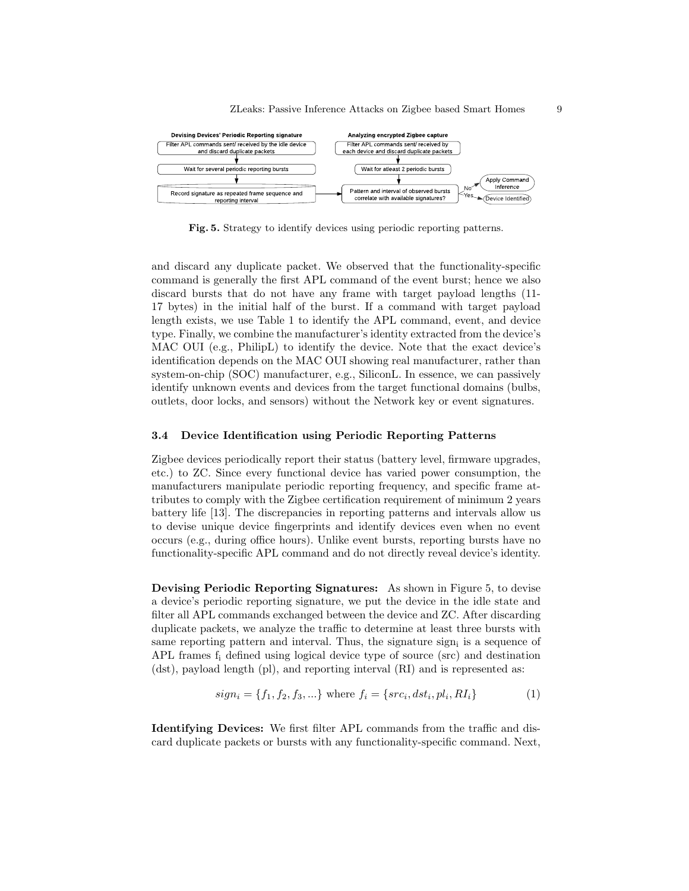

Fig. 5. Strategy to identify devices using periodic reporting patterns.

and discard any duplicate packet. We observed that the functionality-specific command is generally the first APL command of the event burst; hence we also discard bursts that do not have any frame with target payload lengths (11- 17 bytes) in the initial half of the burst. If a command with target payload length exists, we use Table 1 to identify the APL command, event, and device type. Finally, we combine the manufacturer's identity extracted from the device's MAC OUI (e.g., PhilipL) to identify the device. Note that the exact device's identification depends on the MAC OUI showing real manufacturer, rather than system-on-chip (SOC) manufacturer, e.g., SiliconL. In essence, we can passively identify unknown events and devices from the target functional domains (bulbs, outlets, door locks, and sensors) without the Network key or event signatures.

#### 3.4 Device Identification using Periodic Reporting Patterns

Zigbee devices periodically report their status (battery level, firmware upgrades, etc.) to ZC. Since every functional device has varied power consumption, the manufacturers manipulate periodic reporting frequency, and specific frame attributes to comply with the Zigbee certification requirement of minimum 2 years battery life [13]. The discrepancies in reporting patterns and intervals allow us to devise unique device fingerprints and identify devices even when no event occurs (e.g., during office hours). Unlike event bursts, reporting bursts have no functionality-specific APL command and do not directly reveal device's identity.

Devising Periodic Reporting Signatures: As shown in Figure 5, to devise a device's periodic reporting signature, we put the device in the idle state and filter all APL commands exchanged between the device and ZC. After discarding duplicate packets, we analyze the traffic to determine at least three bursts with same reporting pattern and interval. Thus, the signature sign<sub>i</sub> is a sequence of APL frames  $f_i$  defined using logical device type of source (src) and destination (dst), payload length (pl), and reporting interval (RI) and is represented as:

$$
sign_i = \{f_1, f_2, f_3, ...\}
$$
 where  $f_i = \{src_i, dst_i, pl_i, RI_i\}$  (1)

Identifying Devices: We first filter APL commands from the traffic and discard duplicate packets or bursts with any functionality-specific command. Next,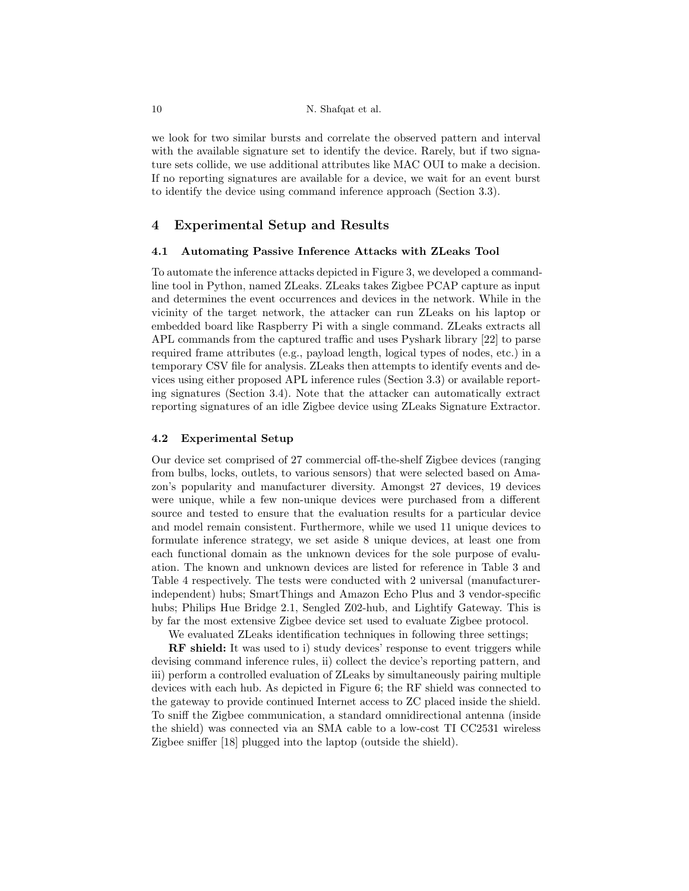we look for two similar bursts and correlate the observed pattern and interval with the available signature set to identify the device. Rarely, but if two signature sets collide, we use additional attributes like MAC OUI to make a decision. If no reporting signatures are available for a device, we wait for an event burst to identify the device using command inference approach (Section 3.3).

# 4 Experimental Setup and Results

#### 4.1 Automating Passive Inference Attacks with ZLeaks Tool

To automate the inference attacks depicted in Figure 3, we developed a commandline tool in Python, named ZLeaks. ZLeaks takes Zigbee PCAP capture as input and determines the event occurrences and devices in the network. While in the vicinity of the target network, the attacker can run ZLeaks on his laptop or embedded board like Raspberry Pi with a single command. ZLeaks extracts all APL commands from the captured traffic and uses Pyshark library [22] to parse required frame attributes (e.g., payload length, logical types of nodes, etc.) in a temporary CSV file for analysis. ZLeaks then attempts to identify events and devices using either proposed APL inference rules (Section 3.3) or available reporting signatures (Section 3.4). Note that the attacker can automatically extract reporting signatures of an idle Zigbee device using ZLeaks Signature Extractor.

## 4.2 Experimental Setup

Our device set comprised of 27 commercial off-the-shelf Zigbee devices (ranging from bulbs, locks, outlets, to various sensors) that were selected based on Amazon's popularity and manufacturer diversity. Amongst 27 devices, 19 devices were unique, while a few non-unique devices were purchased from a different source and tested to ensure that the evaluation results for a particular device and model remain consistent. Furthermore, while we used 11 unique devices to formulate inference strategy, we set aside 8 unique devices, at least one from each functional domain as the unknown devices for the sole purpose of evaluation. The known and unknown devices are listed for reference in Table 3 and Table 4 respectively. The tests were conducted with 2 universal (manufacturerindependent) hubs; SmartThings and Amazon Echo Plus and 3 vendor-specific hubs; Philips Hue Bridge 2.1, Sengled Z02-hub, and Lightify Gateway. This is by far the most extensive Zigbee device set used to evaluate Zigbee protocol.

We evaluated ZLeaks identification techniques in following three settings;

RF shield: It was used to i) study devices' response to event triggers while devising command inference rules, ii) collect the device's reporting pattern, and iii) perform a controlled evaluation of ZLeaks by simultaneously pairing multiple devices with each hub. As depicted in Figure 6; the RF shield was connected to the gateway to provide continued Internet access to ZC placed inside the shield. To sniff the Zigbee communication, a standard omnidirectional antenna (inside the shield) was connected via an SMA cable to a low-cost TI CC2531 wireless Zigbee sniffer [18] plugged into the laptop (outside the shield).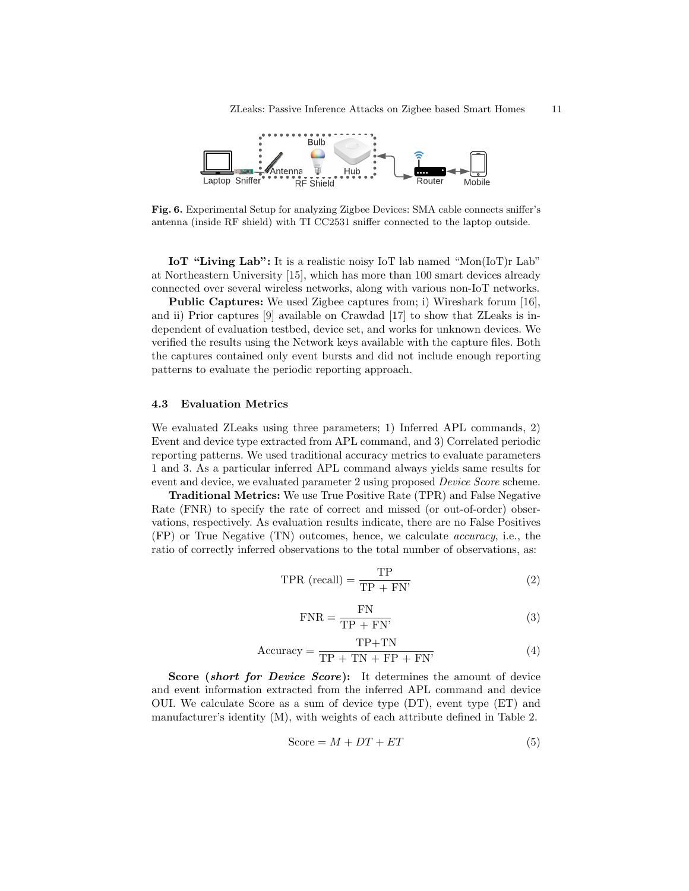

Fig. 6. Experimental Setup for analyzing Zigbee Devices: SMA cable connects sniffer's antenna (inside RF shield) with TI CC2531 sniffer connected to the laptop outside.

IoT "Living Lab": It is a realistic noisy IoT lab named "Mon(IoT)r Lab" at Northeastern University [15], which has more than 100 smart devices already connected over several wireless networks, along with various non-IoT networks.

Public Captures: We used Zigbee captures from; i) Wireshark forum [16], and ii) Prior captures [9] available on Crawdad [17] to show that ZLeaks is independent of evaluation testbed, device set, and works for unknown devices. We verified the results using the Network keys available with the capture files. Both the captures contained only event bursts and did not include enough reporting patterns to evaluate the periodic reporting approach.

## 4.3 Evaluation Metrics

We evaluated ZLeaks using three parameters; 1) Inferred APL commands, 2) Event and device type extracted from APL command, and 3) Correlated periodic reporting patterns. We used traditional accuracy metrics to evaluate parameters 1 and 3. As a particular inferred APL command always yields same results for event and device, we evaluated parameter 2 using proposed *Device Score* scheme.

Traditional Metrics: We use True Positive Rate (TPR) and False Negative Rate (FNR) to specify the rate of correct and missed (or out-of-order) observations, respectively. As evaluation results indicate, there are no False Positives (FP) or True Negative (TN) outcomes, hence, we calculate accuracy, i.e., the ratio of correctly inferred observations to the total number of observations, as:

$$
TPR (recall) = \frac{TP}{TP + FN'} \tag{2}
$$

$$
FNR = \frac{FN}{TP + FN'}\tag{3}
$$

$$
Accuracy = \frac{TP + TN}{TP + TN + FP + FN'} \tag{4}
$$

Score *(short for Device Score)*: It determines the amount of device and event information extracted from the inferred APL command and device OUI. We calculate Score as a sum of device type (DT), event type (ET) and manufacturer's identity (M), with weights of each attribute defined in Table 2.

$$
Score = M + DT + ET \tag{5}
$$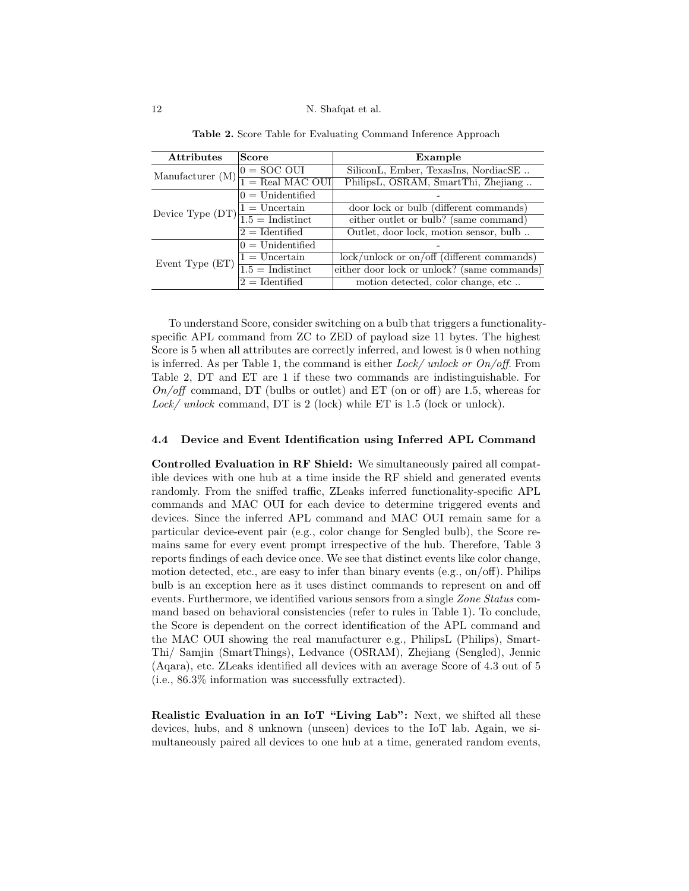| <b>Attributes</b>                                       | Score              | Example                                      |
|---------------------------------------------------------|--------------------|----------------------------------------------|
| Manufacturer (M)                                        | $0 = SOC$ OUI      | SiliconL, Ember, TexasIns, NordiacSE         |
|                                                         | $1 = Real MAC OUT$ | PhilipsL, OSRAM, SmartThi, Zhejiang          |
|                                                         | $0 =$ Unidentified |                                              |
|                                                         | $1 =$ Uncertain    | door lock or bulb (different commands)       |
| Device Type $(DT)\frac{1-\sqrt{1.5}}{1.5}$ = Indistinct |                    | either outlet or bulb? (same command)        |
|                                                         | $2 =$ Identified   | Outlet, door lock, motion sensor, bulb       |
|                                                         | $0 =$ Unidentified |                                              |
| Event Type $(ET)$                                       | $1 =$ Uncertain    | $lock/unlock$ or on/off (different commands) |
|                                                         | $1.5 = Indistinct$ | either door lock or unlock? (same commands)  |
|                                                         | $2 =$ Identified   | motion detected, color change, etc           |

Table 2. Score Table for Evaluating Command Inference Approach

To understand Score, consider switching on a bulb that triggers a functionalityspecific APL command from ZC to ZED of payload size 11 bytes. The highest Score is 5 when all attributes are correctly inferred, and lowest is 0 when nothing is inferred. As per Table 1, the command is either Lock/ unlock or  $On/off$ . From Table 2, DT and ET are 1 if these two commands are indistinguishable. For  $On/off$  command, DT (bulbs or outlet) and ET (on or off) are 1.5, whereas for Lock/ unlock command, DT is 2 (lock) while ET is 1.5 (lock or unlock).

## 4.4 Device and Event Identification using Inferred APL Command

Controlled Evaluation in RF Shield: We simultaneously paired all compatible devices with one hub at a time inside the RF shield and generated events randomly. From the sniffed traffic, ZLeaks inferred functionality-specific APL commands and MAC OUI for each device to determine triggered events and devices. Since the inferred APL command and MAC OUI remain same for a particular device-event pair (e.g., color change for Sengled bulb), the Score remains same for every event prompt irrespective of the hub. Therefore, Table 3 reports findings of each device once. We see that distinct events like color change, motion detected, etc., are easy to infer than binary events (e.g., on/off). Philips bulb is an exception here as it uses distinct commands to represent on and off events. Furthermore, we identified various sensors from a single *Zone Status* command based on behavioral consistencies (refer to rules in Table 1). To conclude, the Score is dependent on the correct identification of the APL command and the MAC OUI showing the real manufacturer e.g., PhilipsL (Philips), Smart-Thi/ Samjin (SmartThings), Ledvance (OSRAM), Zhejiang (Sengled), Jennic (Aqara), etc. ZLeaks identified all devices with an average Score of 4.3 out of 5 (i.e., 86.3% information was successfully extracted).

Realistic Evaluation in an IoT "Living Lab": Next, we shifted all these devices, hubs, and 8 unknown (unseen) devices to the IoT lab. Again, we simultaneously paired all devices to one hub at a time, generated random events,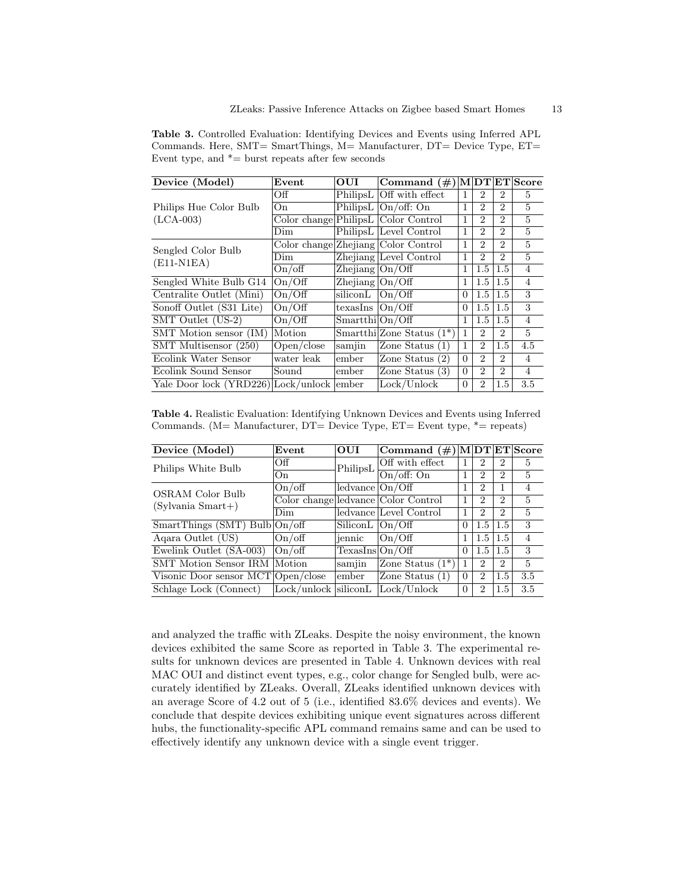Table 3. Controlled Evaluation: Identifying Devices and Events using Inferred APL Commands. Here, SMT= SmartThings, M= Manufacturer, DT= Device Type, ET= Event type, and  $*$  = burst repeats after few seconds

| Device (Model)                      | Event      | OUI                | Command $(\#)$                       |                                                                                                                                                                                                                                                                                                                                                                                                                                                                                                                                                                                                                                                                                                                                                                                                                                    |                             |                |                |
|-------------------------------------|------------|--------------------|--------------------------------------|------------------------------------------------------------------------------------------------------------------------------------------------------------------------------------------------------------------------------------------------------------------------------------------------------------------------------------------------------------------------------------------------------------------------------------------------------------------------------------------------------------------------------------------------------------------------------------------------------------------------------------------------------------------------------------------------------------------------------------------------------------------------------------------------------------------------------------|-----------------------------|----------------|----------------|
|                                     | Off        |                    | PhilipsL Off with effect             |                                                                                                                                                                                                                                                                                                                                                                                                                                                                                                                                                                                                                                                                                                                                                                                                                                    | $\overline{2}$              | $\overline{2}$ | $\mathbf{5}$   |
| Philips Hue Color Bulb              | On.        |                    | PhilipsL $ On/off:On$                | 1                                                                                                                                                                                                                                                                                                                                                                                                                                                                                                                                                                                                                                                                                                                                                                                                                                  | $\mathcal{D}_{\mathcal{L}}$ | $\overline{2}$ | $\mathbf{5}$   |
| $(LCA-003)$                         |            |                    | Color change Philips L Color Control | 1                                                                                                                                                                                                                                                                                                                                                                                                                                                                                                                                                                                                                                                                                                                                                                                                                                  | $\mathcal{D}_{\mathcal{L}}$ | $\overline{2}$ | $\overline{5}$ |
|                                     | Dim        |                    | PhilipsL Level Control               | M DT ET Score<br>1<br>$\overline{5}$<br>1<br>$\mathcal{D}_{\mathcal{L}}$<br>$\mathcal{D}_{\mathcal{L}}$<br>$\overline{5}$<br>$\mathbf{1}$<br>$\overline{2}$<br>$\mathcal{D}_{\mathcal{L}}$<br>$\overline{5}$<br>$\overline{2}$<br>1<br>$\overline{2}$<br>$\overline{4}$<br>1<br>1.5<br>$1.5\,$<br>$\overline{4}$<br>1<br>$1.5^{\circ}$<br>$1.5\,$<br>3<br>1.5<br>$1.5\,$<br>$\Omega$<br>3<br>1.5<br>$1.5\,$<br>$\Omega$<br>$\overline{4}$<br>$1.5\,$<br>1<br>$1.5\,$<br>$\mathbf{5}$<br>1<br>$\mathcal{D}_{\mathcal{L}}$<br>$\overline{2}$<br>1<br>4.5<br>$\overline{2}$<br>$1.5\,$<br>$\mathcal{D}_{\mathcal{L}}$<br>(2)<br>$\Omega$<br>$\overline{2}$<br>$\overline{4}$<br>$\overline{4}$<br>$\mathcal{D}_{\mathcal{L}}$<br>$\mathcal{D}_{\mathcal{L}}$<br>$\Omega$<br>$1.5\,$<br>3.5<br>$\Omega$<br>$\mathcal{D}_{\mathcal{L}}$ |                             |                |                |
|                                     |            |                    | Color change Zhejiang Color Control  |                                                                                                                                                                                                                                                                                                                                                                                                                                                                                                                                                                                                                                                                                                                                                                                                                                    |                             |                |                |
| Sengled Color Bulb<br>$(E11-N1EA)$  | Dim-       |                    | Zhejiang Level Control               |                                                                                                                                                                                                                                                                                                                                                                                                                                                                                                                                                                                                                                                                                                                                                                                                                                    |                             |                |                |
| On/off                              |            | Zhejiang $ On/Off$ |                                      |                                                                                                                                                                                                                                                                                                                                                                                                                                                                                                                                                                                                                                                                                                                                                                                                                                    |                             |                |                |
| Sengled White Bulb G14              | On/Off     | Zhejiang $ On/Off$ |                                      |                                                                                                                                                                                                                                                                                                                                                                                                                                                                                                                                                                                                                                                                                                                                                                                                                                    |                             |                |                |
| Centralite Outlet (Mini)            | On/Off     | siliconL           | On/Off                               |                                                                                                                                                                                                                                                                                                                                                                                                                                                                                                                                                                                                                                                                                                                                                                                                                                    |                             |                |                |
| Sonoff Outlet (S31 Lite)            | On/Off     | texasIns $ On/Off$ |                                      |                                                                                                                                                                                                                                                                                                                                                                                                                                                                                                                                                                                                                                                                                                                                                                                                                                    |                             |                |                |
| SMT Outlet (US-2)                   | On/Off     | Smartthi On/Off    |                                      |                                                                                                                                                                                                                                                                                                                                                                                                                                                                                                                                                                                                                                                                                                                                                                                                                                    |                             |                |                |
| SMT Motion sensor (IM)              | Motion     |                    | $Smartthi$ Zone Status $(1^*)$       |                                                                                                                                                                                                                                                                                                                                                                                                                                                                                                                                                                                                                                                                                                                                                                                                                                    |                             |                |                |
| SMT Multisensor (250)               | Open/close | samjin             | Zone Status $(1)$                    |                                                                                                                                                                                                                                                                                                                                                                                                                                                                                                                                                                                                                                                                                                                                                                                                                                    |                             |                |                |
| Ecolink Water Sensor                | water leak | ember              | Zone Status                          |                                                                                                                                                                                                                                                                                                                                                                                                                                                                                                                                                                                                                                                                                                                                                                                                                                    |                             |                |                |
| Ecolink Sound Sensor                | Sound      | ember              | Zone Status $(3)$                    |                                                                                                                                                                                                                                                                                                                                                                                                                                                                                                                                                                                                                                                                                                                                                                                                                                    |                             |                |                |
| Yale Door lock (YRD226) Lock/unlock |            | ember              | Lock/Unlock                          |                                                                                                                                                                                                                                                                                                                                                                                                                                                                                                                                                                                                                                                                                                                                                                                                                                    |                             |                |                |

Table 4. Realistic Evaluation: Identifying Unknown Devices and Events using Inferred Commands. (M= Manufacturer, DT= Device Type, ET= Event type, \*= repeats)

| Device (Model)                             | Event           | <b>OUI</b>                                                                                                   | $ {\rm Command}\,\,(\#) {\rm M}  {\rm DT} {\rm ET} {\rm Score}$ |          |                |                |                |
|--------------------------------------------|-----------------|--------------------------------------------------------------------------------------------------------------|-----------------------------------------------------------------|----------|----------------|----------------|----------------|
| Philips White Bulb                         | Off             | PhilipsL                                                                                                     | Off with effect                                                 |          | 2              | $\overline{2}$ | $\mathbf{5}$   |
|                                            | On              |                                                                                                              | On/off: On                                                      |          | 2              | $\overline{2}$ | $\overline{5}$ |
| OSRAM Color Bulb                           | $On/\text{off}$ | ledspace  On/Off                                                                                             |                                                                 |          | 2              |                | $\overline{4}$ |
| $(Sylvania Smart+)$                        |                 |                                                                                                              | Color change ledvance Color Control                             |          | 2              | $\overline{2}$ | $\overline{5}$ |
|                                            | Dim             | $\overline{5}$<br>ledvance Level Control<br>$\mathcal{D}_{\mathcal{L}}$<br>2<br>SiliconL  On/Off<br>$\Omega$ |                                                                 |          |                |                |                |
| SmartThings (SMT) Bulb $\overline{On/off}$ |                 |                                                                                                              |                                                                 |          | 1.5            | 1.5            | 3              |
| Agara Outlet (US)                          | $On/\text{off}$ | jennic                                                                                                       | On/Off                                                          |          | 1.5            | 1.5            | $\overline{4}$ |
| Ewelink Outlet (SA-003)                    | $On/\text{off}$ | TexasIns On/Off                                                                                              |                                                                 | $\Omega$ | 1.5            | $1.5^{\circ}$  | 3              |
| <b>SMT</b> Motion Sensor IRM Motion        |                 | samjin                                                                                                       | Zone Status $(1^*)$                                             |          | 2              | $\overline{2}$ | $\overline{5}$ |
| Visonic Door sensor MCT Open/close         |                 | ember                                                                                                        | Zone Status $(1)$                                               | $\Omega$ | $\mathfrak{D}$ | 1.5            | 3.5            |
| Schlage Lock (Connect)                     | Lock/unlock     | siliconL                                                                                                     | Lock/Unlock                                                     | $\Omega$ | 2              | 1.5            | 3.5            |

and analyzed the traffic with ZLeaks. Despite the noisy environment, the known devices exhibited the same Score as reported in Table 3. The experimental results for unknown devices are presented in Table 4. Unknown devices with real MAC OUI and distinct event types, e.g., color change for Sengled bulb, were accurately identified by ZLeaks. Overall, ZLeaks identified unknown devices with an average Score of 4.2 out of 5 (i.e., identified 83.6% devices and events). We conclude that despite devices exhibiting unique event signatures across different hubs, the functionality-specific APL command remains same and can be used to effectively identify any unknown device with a single event trigger.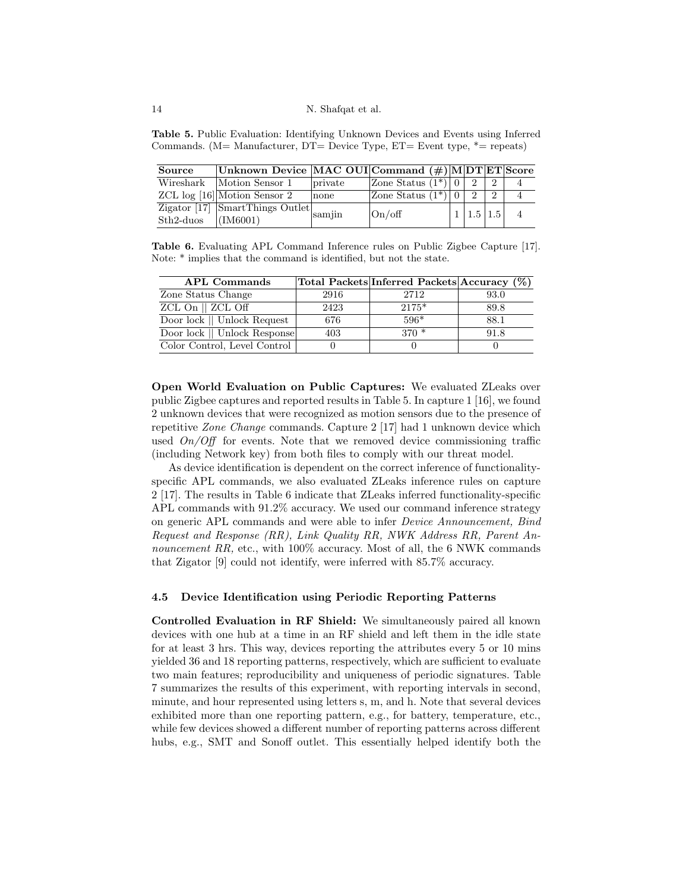Table 5. Public Evaluation: Identifying Unknown Devices and Events using Inferred Commands. (M= Manufacturer, DT= Device Type, ET= Event type, \*= repeats)

| Source               | Unknown Device MAC OUI Command (#) MDT ET Score                        |         |                                    |  |                       |               |  |  |
|----------------------|------------------------------------------------------------------------|---------|------------------------------------|--|-----------------------|---------------|--|--|
|                      | Wireshark   Motion Sensor 1                                            | private | Zone Status $(1^{\overline{*}})$ 0 |  |                       | $\mathcal{D}$ |  |  |
|                      | $ZCL$ log [16] Motion Sensor 2                                         | none    | Zone Status $(1^*) 0$              |  |                       |               |  |  |
|                      | $\overline{Zigator\ [17]}\ \frac{1}{\text{SmartThings Outlet}}$ samjin |         | On/off                             |  | $1 \mid 1.5 \mid 1.5$ |               |  |  |
| Sth2-duos $(IM6001)$ |                                                                        |         |                                    |  |                       |               |  |  |

Table 6. Evaluating APL Command Inference rules on Public Zigbee Capture [17]. Note: \* implies that the command is identified, but not the state.

| <b>APL Commands</b>          |      | Total Packets Inferred Packets Accuracy (%) |      |
|------------------------------|------|---------------------------------------------|------|
| Zone Status Change           | 2916 | 2712                                        | 93.0 |
| $ZCL$ On $  $ $ZCL$ Off      | 2423 | $2175*$                                     | 89.8 |
| Door lock    Unlock Request  | 676  | $596*$                                      | 88.1 |
| Door lock    Unlock Response | 403  | $370*$                                      | 91.8 |
| Color Control, Level Control |      |                                             |      |

Open World Evaluation on Public Captures: We evaluated ZLeaks over public Zigbee captures and reported results in Table 5. In capture 1 [16], we found 2 unknown devices that were recognized as motion sensors due to the presence of repetitive Zone Change commands. Capture 2 [17] had 1 unknown device which used  $On/Off$  for events. Note that we removed device commissioning traffic (including Network key) from both files to comply with our threat model.

As device identification is dependent on the correct inference of functionalityspecific APL commands, we also evaluated ZLeaks inference rules on capture 2 [17]. The results in Table 6 indicate that ZLeaks inferred functionality-specific APL commands with 91.2% accuracy. We used our command inference strategy on generic APL commands and were able to infer Device Announcement, Bind Request and Response (RR), Link Quality RR, NWK Address RR, Parent Announcement RR, etc., with  $100\%$  accuracy. Most of all, the 6 NWK commands that Zigator [9] could not identify, were inferred with 85.7% accuracy.

## 4.5 Device Identification using Periodic Reporting Patterns

Controlled Evaluation in RF Shield: We simultaneously paired all known devices with one hub at a time in an RF shield and left them in the idle state for at least 3 hrs. This way, devices reporting the attributes every 5 or 10 mins yielded 36 and 18 reporting patterns, respectively, which are sufficient to evaluate two main features; reproducibility and uniqueness of periodic signatures. Table 7 summarizes the results of this experiment, with reporting intervals in second, minute, and hour represented using letters s, m, and h. Note that several devices exhibited more than one reporting pattern, e.g., for battery, temperature, etc., while few devices showed a different number of reporting patterns across different hubs, e.g., SMT and Sonoff outlet. This essentially helped identify both the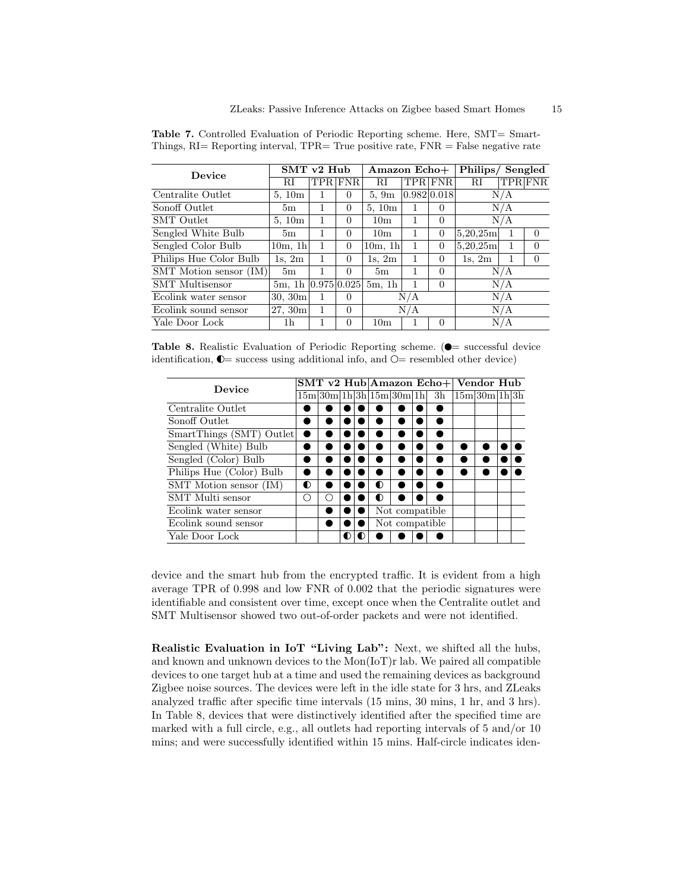| Device                 | $SMT$ v2 Hub              |      |          | Amazon Echo+    |             |                | Philips/Sengled |     |                |  |
|------------------------|---------------------------|------|----------|-----------------|-------------|----------------|-----------------|-----|----------------|--|
|                        | RI                        | TPR. | FNR.     | RI              |             | <b>TPR</b> FNR | $_{\rm RI}$     |     | <b>TPR</b> FNR |  |
| Centralite Outlet      | 5,10m                     |      | $\Omega$ | 5.9m            | 0.982 0.018 |                |                 | N/A |                |  |
| Sonoff Outlet          | 5m                        |      | $\Omega$ | 5,10m           |             | $\Omega$       |                 | N/A |                |  |
| <b>SMT</b> Outlet      | 5,10m                     | 1.   | $\Omega$ | 10 <sub>m</sub> | 1           | $\Omega$       |                 | N/A |                |  |
| Sengled White Bulb     | 5m                        |      | $\Omega$ | 10 <sub>m</sub> | 1           | $\overline{0}$ | 5,20,25m        | 1   | $\Omega$       |  |
| Sengled Color Bulb     | $10m$ , 1h                |      | $\Omega$ | $10m$ , 1h      | 1           | $\Omega$       | 5,20,25m        |     | 0              |  |
| Philips Hue Color Bulb | $1s$ , $2m$               |      | $\Omega$ | $1s$ , $2m$     | 1           | $\Omega$       | $1s$ , $2m$     |     | $\Omega$       |  |
| SMT Motion sensor (IM) | 5m                        |      | $\Omega$ | 5m              | 1           | $\Omega$       |                 | N/A |                |  |
| <b>SMT</b> Multisensor | $5m$ , 1h $ 0.975 0.025 $ |      |          | $5m$ , 1h       | 1           | $\Omega$       |                 | N/A |                |  |
| Ecolink water sensor   | 30, 30m                   |      | $\Omega$ |                 | N/A         |                |                 | N/A |                |  |
| Ecolink sound sensor   | 27,30m                    | 1    | $\Omega$ |                 | N/A         |                |                 | N/A |                |  |
| Yale Door Lock         | 1h                        |      | $\Omega$ | 10 <sub>m</sub> |             | $\Omega$       |                 | N/A |                |  |

Table 7. Controlled Evaluation of Periodic Reporting scheme. Here, SMT= Smart-Things, RI= Reporting interval, TPR= True positive rate, FNR = False negative rate

Table 8. Realistic Evaluation of Periodic Reporting scheme.  $\circ$  = successful device identification,  $\mathbb{O}$  = success using additional info, and  $\mathbb{O}$  = resembled other device)

| Device                   |   |   |   |  | $\overline{\text{SMT v2}}$ Hub Amazon Echo+ Vendor Hub |                 |  |                                                 |  |  |  |  |
|--------------------------|---|---|---|--|--------------------------------------------------------|-----------------|--|-------------------------------------------------|--|--|--|--|
|                          |   |   |   |  |                                                        |                 |  | $15m 30m 1h 3h 15m 30m 1h $ 3h $ 15m 30m 1h 3h$ |  |  |  |  |
| Centralite Outlet        |   |   |   |  |                                                        |                 |  |                                                 |  |  |  |  |
| Sonoff Outlet            |   |   |   |  |                                                        |                 |  |                                                 |  |  |  |  |
| SmartThings (SMT) Outlet |   |   |   |  |                                                        |                 |  |                                                 |  |  |  |  |
| Sengled (White) Bulb     |   |   |   |  |                                                        |                 |  |                                                 |  |  |  |  |
| Sengled (Color) Bulb     |   |   |   |  |                                                        |                 |  |                                                 |  |  |  |  |
| Philips Hue (Color) Bulb |   |   |   |  |                                                        |                 |  |                                                 |  |  |  |  |
| SMT Motion sensor (IM)   | ◐ |   |   |  | $\bullet$                                              |                 |  |                                                 |  |  |  |  |
| SMT Multi sensor         |   | ( |   |  | ◐                                                      |                 |  |                                                 |  |  |  |  |
| Ecolink water sensor     |   |   |   |  |                                                        | Not compatible. |  |                                                 |  |  |  |  |
| Ecolink sound sensor     |   |   |   |  |                                                        | Not compatible. |  |                                                 |  |  |  |  |
| Yale Door Lock           |   |   | ◐ |  |                                                        |                 |  |                                                 |  |  |  |  |

device and the smart hub from the encrypted traffic. It is evident from a high average TPR of 0.998 and low FNR of 0.002 that the periodic signatures were identifiable and consistent over time, except once when the Centralite outlet and SMT Multisensor showed two out-of-order packets and were not identified.

Realistic Evaluation in IoT "Living Lab": Next, we shifted all the hubs, and known and unknown devices to the Mon(IoT)r lab. We paired all compatible devices to one target hub at a time and used the remaining devices as background Zigbee noise sources. The devices were left in the idle state for 3 hrs, and ZLeaks analyzed traffic after specific time intervals (15 mins, 30 mins, 1 hr, and 3 hrs). In Table 8, devices that were distinctively identified after the specified time are marked with a full circle, e.g., all outlets had reporting intervals of 5 and/or 10 mins; and were successfully identified within 15 mins. Half-circle indicates iden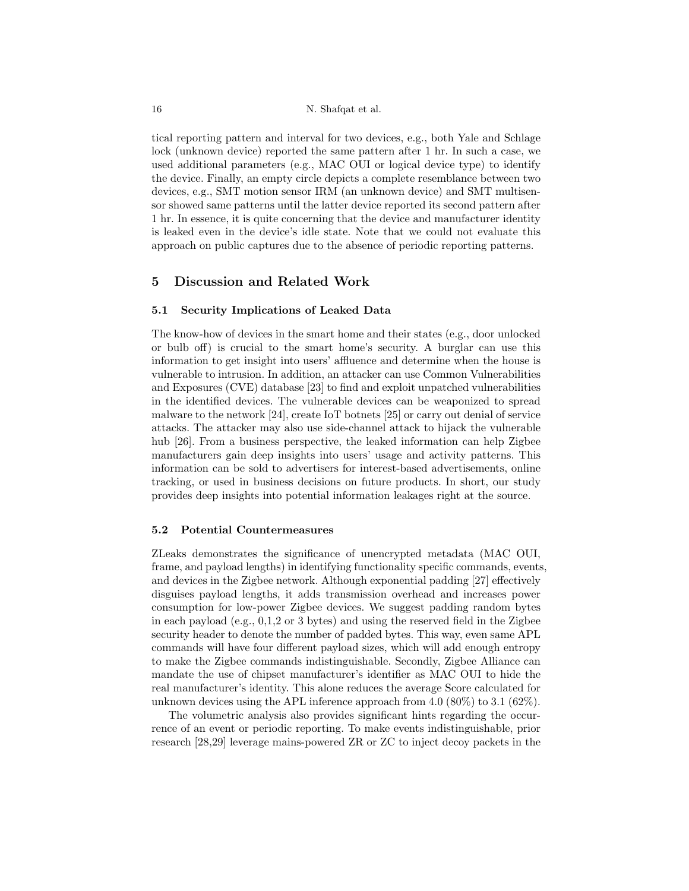tical reporting pattern and interval for two devices, e.g., both Yale and Schlage lock (unknown device) reported the same pattern after 1 hr. In such a case, we used additional parameters (e.g., MAC OUI or logical device type) to identify the device. Finally, an empty circle depicts a complete resemblance between two devices, e.g., SMT motion sensor IRM (an unknown device) and SMT multisensor showed same patterns until the latter device reported its second pattern after 1 hr. In essence, it is quite concerning that the device and manufacturer identity is leaked even in the device's idle state. Note that we could not evaluate this approach on public captures due to the absence of periodic reporting patterns.

# 5 Discussion and Related Work

## 5.1 Security Implications of Leaked Data

The know-how of devices in the smart home and their states (e.g., door unlocked or bulb off) is crucial to the smart home's security. A burglar can use this information to get insight into users' affluence and determine when the house is vulnerable to intrusion. In addition, an attacker can use Common Vulnerabilities and Exposures (CVE) database [23] to find and exploit unpatched vulnerabilities in the identified devices. The vulnerable devices can be weaponized to spread malware to the network [24], create IoT botnets [25] or carry out denial of service attacks. The attacker may also use side-channel attack to hijack the vulnerable hub [26]. From a business perspective, the leaked information can help Zigbee manufacturers gain deep insights into users' usage and activity patterns. This information can be sold to advertisers for interest-based advertisements, online tracking, or used in business decisions on future products. In short, our study provides deep insights into potential information leakages right at the source.

## 5.2 Potential Countermeasures

ZLeaks demonstrates the significance of unencrypted metadata (MAC OUI, frame, and payload lengths) in identifying functionality specific commands, events, and devices in the Zigbee network. Although exponential padding [27] effectively disguises payload lengths, it adds transmission overhead and increases power consumption for low-power Zigbee devices. We suggest padding random bytes in each payload (e.g., 0,1,2 or 3 bytes) and using the reserved field in the Zigbee security header to denote the number of padded bytes. This way, even same APL commands will have four different payload sizes, which will add enough entropy to make the Zigbee commands indistinguishable. Secondly, Zigbee Alliance can mandate the use of chipset manufacturer's identifier as MAC OUI to hide the real manufacturer's identity. This alone reduces the average Score calculated for unknown devices using the APL inference approach from  $4.0 \ (80\%)$  to  $3.1 \ (62\%)$ .

The volumetric analysis also provides significant hints regarding the occurrence of an event or periodic reporting. To make events indistinguishable, prior research [28,29] leverage mains-powered ZR or ZC to inject decoy packets in the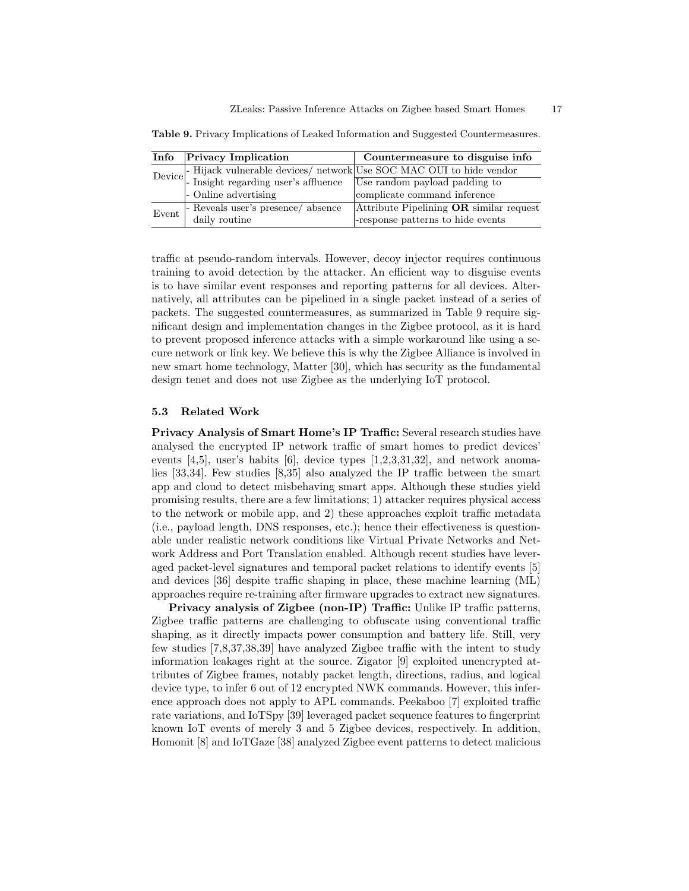|                    | Info Privacy Implication                                                                                                                                | Countermeasure to disguise info         |
|--------------------|---------------------------------------------------------------------------------------------------------------------------------------------------------|-----------------------------------------|
|                    | Device - Hijack vulnerable devices/ network Use SOC MAC OUI to hide vendor<br>Device - Insight regarding user's affluence Use random payload padding to |                                         |
|                    |                                                                                                                                                         |                                         |
|                    | - Online advertising                                                                                                                                    | complicate command inference            |
|                    | - Reveals user's presence/ absence                                                                                                                      | Attribute Pipelining OR similar request |
| Event <sup>1</sup> | daily routine                                                                                                                                           | -response patterns to hide events       |

Table 9. Privacy Implications of Leaked Information and Suggested Countermeasures.

traffic at pseudo-random intervals. However, decoy injector requires continuous training to avoid detection by the attacker. An efficient way to disguise events is to have similar event responses and reporting patterns for all devices. Alternatively, all attributes can be pipelined in a single packet instead of a series of packets. The suggested countermeasures, as summarized in Table 9 require significant design and implementation changes in the Zigbee protocol, as it is hard to prevent proposed inference attacks with a simple workaround like using a secure network or link key. We believe this is why the Zigbee Alliance is involved in new smart home technology, Matter [30], which has security as the fundamental design tenet and does not use Zigbee as the underlying IoT protocol.

#### 5.3 Related Work

Privacy Analysis of Smart Home's IP Traffic: Several research studies have analysed the encrypted IP network traffic of smart homes to predict devices' events  $[4,5]$ , user's habits  $[6]$ , device types  $[1,2,3,31,32]$ , and network anomalies [33,34]. Few studies [8,35] also analyzed the IP traffic between the smart app and cloud to detect misbehaving smart apps. Although these studies yield promising results, there are a few limitations; 1) attacker requires physical access to the network or mobile app, and 2) these approaches exploit traffic metadata (i.e., payload length, DNS responses, etc.); hence their effectiveness is questionable under realistic network conditions like Virtual Private Networks and Network Address and Port Translation enabled. Although recent studies have leveraged packet-level signatures and temporal packet relations to identify events [5] and devices [36] despite traffic shaping in place, these machine learning (ML) approaches require re-training after firmware upgrades to extract new signatures.

Privacy analysis of Zigbee (non-IP) Traffic: Unlike IP traffic patterns, Zigbee traffic patterns are challenging to obfuscate using conventional traffic shaping, as it directly impacts power consumption and battery life. Still, very few studies [7,8,37,38,39] have analyzed Zigbee traffic with the intent to study information leakages right at the source. Zigator [9] exploited unencrypted attributes of Zigbee frames, notably packet length, directions, radius, and logical device type, to infer 6 out of 12 encrypted NWK commands. However, this inference approach does not apply to APL commands. Peekaboo [7] exploited traffic rate variations, and IoTSpy [39] leveraged packet sequence features to fingerprint known IoT events of merely 3 and 5 Zigbee devices, respectively. In addition, Homonit [8] and IoTGaze [38] analyzed Zigbee event patterns to detect malicious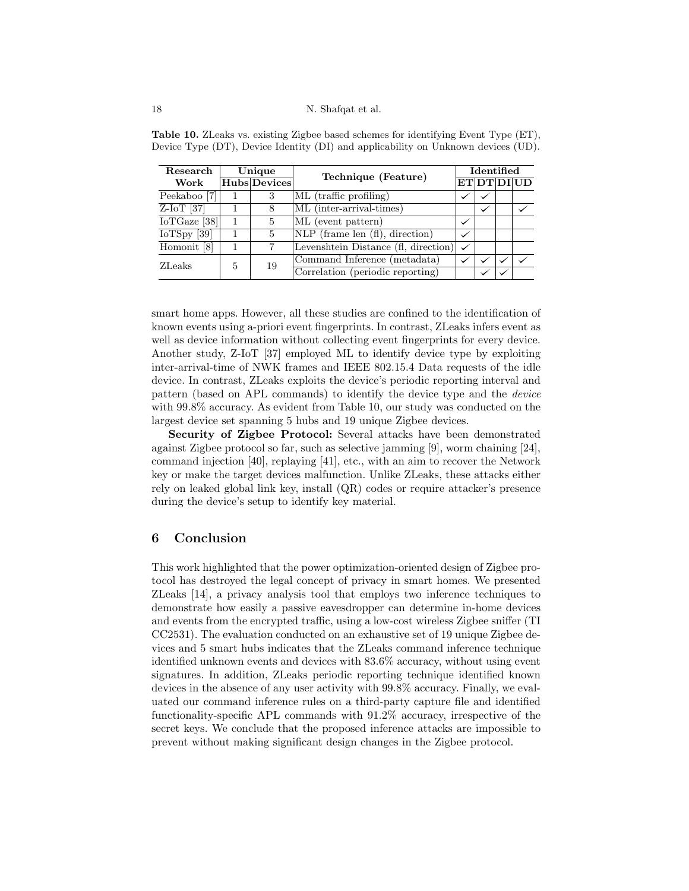| Research                         |   | Unique       | Technique (Feature)                         | Identified   |              |  |                    |  |
|----------------------------------|---|--------------|---------------------------------------------|--------------|--------------|--|--------------------|--|
| Work                             |   | Hubs Devices |                                             |              |              |  | <b>ET DT DI UD</b> |  |
| Peekaboo [7]                     |   | 3            | ML (traffic profiling)                      | $\checkmark$ |              |  |                    |  |
| $Z$ -IoT [37]                    |   | 8            | ML (inter-arrival-times)                    |              | $\checkmark$ |  |                    |  |
| $\overline{\text{IoTGaze}}$ [38] |   | 5            | ML (event pattern)                          | $\checkmark$ |              |  |                    |  |
| Io $TSpy$ [39]                   |   | 5            | $NLP$ (frame len $(f)$ ), direction)        |              |              |  |                    |  |
| Homonit [8]                      |   | 7            | Levenshtein Distance (fl. direction) $\sim$ |              |              |  |                    |  |
| <b>ZLeaks</b>                    | 5 | 19           | Command Inference (metadata)                |              |              |  |                    |  |
|                                  |   |              | Correlation (periodic reporting)            |              | $\checkmark$ |  |                    |  |

Table 10. ZLeaks vs. existing Zigbee based schemes for identifying Event Type (ET), Device Type (DT), Device Identity (DI) and applicability on Unknown devices (UD).

smart home apps. However, all these studies are confined to the identification of known events using a-priori event fingerprints. In contrast, ZLeaks infers event as well as device information without collecting event fingerprints for every device. Another study, Z-IoT [37] employed ML to identify device type by exploiting inter-arrival-time of NWK frames and IEEE 802.15.4 Data requests of the idle device. In contrast, ZLeaks exploits the device's periodic reporting interval and pattern (based on APL commands) to identify the device type and the device with 99.8% accuracy. As evident from Table 10, our study was conducted on the largest device set spanning 5 hubs and 19 unique Zigbee devices.

Security of Zigbee Protocol: Several attacks have been demonstrated against Zigbee protocol so far, such as selective jamming [9], worm chaining [24], command injection [40], replaying [41], etc., with an aim to recover the Network key or make the target devices malfunction. Unlike ZLeaks, these attacks either rely on leaked global link key, install (QR) codes or require attacker's presence during the device's setup to identify key material.

# 6 Conclusion

This work highlighted that the power optimization-oriented design of Zigbee protocol has destroyed the legal concept of privacy in smart homes. We presented ZLeaks [14], a privacy analysis tool that employs two inference techniques to demonstrate how easily a passive eavesdropper can determine in-home devices and events from the encrypted traffic, using a low-cost wireless Zigbee sniffer (TI CC2531). The evaluation conducted on an exhaustive set of 19 unique Zigbee devices and 5 smart hubs indicates that the ZLeaks command inference technique identified unknown events and devices with 83.6% accuracy, without using event signatures. In addition, ZLeaks periodic reporting technique identified known devices in the absence of any user activity with 99.8% accuracy. Finally, we evaluated our command inference rules on a third-party capture file and identified functionality-specific APL commands with 91.2% accuracy, irrespective of the secret keys. We conclude that the proposed inference attacks are impossible to prevent without making significant design changes in the Zigbee protocol.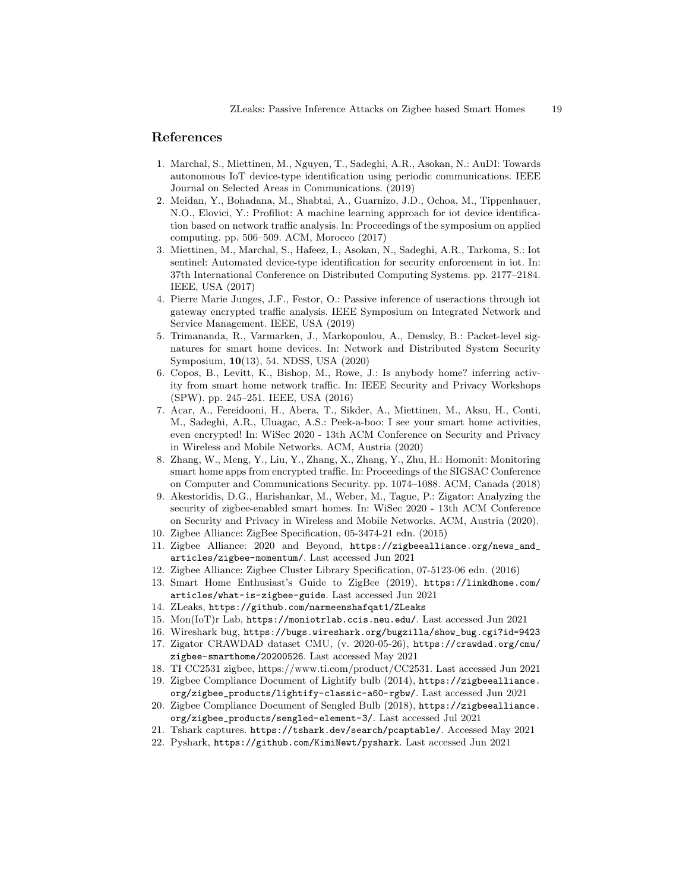# References

- 1. Marchal, S., Miettinen, M., Nguyen, T., Sadeghi, A.R., Asokan, N.: AuDI: Towards autonomous IoT device-type identification using periodic communications. IEEE Journal on Selected Areas in Communications. (2019)
- 2. Meidan, Y., Bohadana, M., Shabtai, A., Guarnizo, J.D., Ochoa, M., Tippenhauer, N.O., Elovici, Y.: Profiliot: A machine learning approach for iot device identification based on network traffic analysis. In: Proceedings of the symposium on applied computing. pp. 506–509. ACM, Morocco (2017)
- 3. Miettinen, M., Marchal, S., Hafeez, I., Asokan, N., Sadeghi, A.R., Tarkoma, S.: Iot sentinel: Automated device-type identification for security enforcement in iot. In: 37th International Conference on Distributed Computing Systems. pp. 2177–2184. IEEE, USA (2017)
- 4. Pierre Marie Junges, J.F., Festor, O.: Passive inference of useractions through iot gateway encrypted traffic analysis. IEEE Symposium on Integrated Network and Service Management. IEEE, USA (2019)
- 5. Trimananda, R., Varmarken, J., Markopoulou, A., Demsky, B.: Packet-level signatures for smart home devices. In: Network and Distributed System Security Symposium, 10(13), 54. NDSS, USA (2020)
- 6. Copos, B., Levitt, K., Bishop, M., Rowe, J.: Is anybody home? inferring activity from smart home network traffic. In: IEEE Security and Privacy Workshops (SPW). pp. 245–251. IEEE, USA (2016)
- 7. Acar, A., Fereidooni, H., Abera, T., Sikder, A., Miettinen, M., Aksu, H., Conti, M., Sadeghi, A.R., Uluagac, A.S.: Peek-a-boo: I see your smart home activities, even encrypted! In: WiSec 2020 - 13th ACM Conference on Security and Privacy in Wireless and Mobile Networks. ACM, Austria (2020)
- 8. Zhang, W., Meng, Y., Liu, Y., Zhang, X., Zhang, Y., Zhu, H.: Homonit: Monitoring smart home apps from encrypted traffic. In: Proceedings of the SIGSAC Conference on Computer and Communications Security. pp. 1074–1088. ACM, Canada (2018)
- 9. Akestoridis, D.G., Harishankar, M., Weber, M., Tague, P.: Zigator: Analyzing the security of zigbee-enabled smart homes. In: WiSec 2020 - 13th ACM Conference on Security and Privacy in Wireless and Mobile Networks. ACM, Austria (2020).
- 10. Zigbee Alliance: ZigBee Specification, 05-3474-21 edn. (2015)
- 11. Zigbee Alliance: 2020 and Beyond, https://zigbeealliance.org/news\_and\_ articles/zigbee-momentum/. Last accessed Jun 2021
- 12. Zigbee Alliance: Zigbee Cluster Library Specification, 07-5123-06 edn. (2016)
- 13. Smart Home Enthusiast's Guide to ZigBee (2019), https://linkdhome.com/ articles/what-is-zigbee-guide. Last accessed Jun 2021
- 14. ZLeaks, https://github.com/narmeenshafqat1/ZLeaks
- 15. Mon(IoT)r Lab, https://moniotrlab.ccis.neu.edu/. Last accessed Jun 2021
- 16. Wireshark bug, https://bugs.wireshark.org/bugzilla/show\_bug.cgi?id=9423
- 17. Zigator CRAWDAD dataset CMU, (v. 2020-05-26), https://crawdad.org/cmu/ zigbee-smarthome/20200526. Last accessed May 2021
- 18. TI CC2531 zigbee, https://www.ti.com/product/CC2531. Last accessed Jun 2021
- 19. Zigbee Compliance Document of Lightify bulb (2014), https://zigbeealliance. org/zigbee\_products/lightify-classic-a60-rgbw/. Last accessed Jun 2021
- 20. Zigbee Compliance Document of Sengled Bulb (2018), https://zigbeealliance. org/zigbee\_products/sengled-element-3/. Last accessed Jul 2021
- 21. Tshark captures. https://tshark.dev/search/pcaptable/. Accessed May 2021
- 22. Pyshark, https://github.com/KimiNewt/pyshark. Last accessed Jun 2021